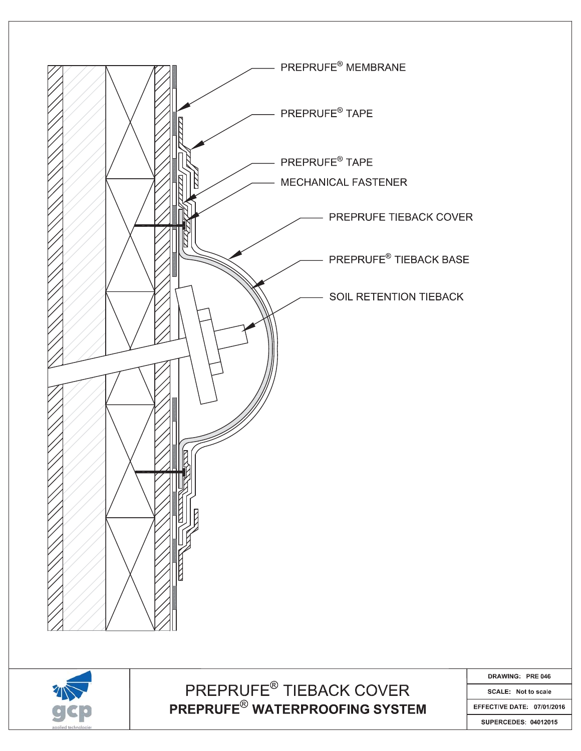

**SUPERCEDES: 04012015**